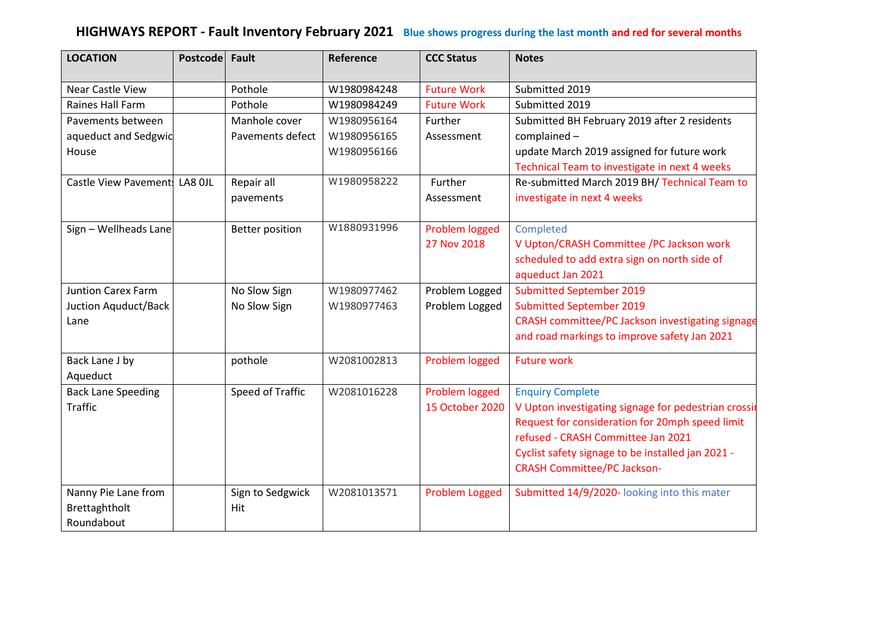## **HIGHWAYS REPORT - Fault Inventory February 2021 Blue shows progress during the last month and red for several months**

| <b>LOCATION</b>               | Postcode | <b>Fault</b>           | Reference   | <b>CCC Status</b>     | <b>Notes</b>                                         |
|-------------------------------|----------|------------------------|-------------|-----------------------|------------------------------------------------------|
| Near Castle View              |          | Pothole                | W1980984248 | <b>Future Work</b>    | Submitted 2019                                       |
| Raines Hall Farm              |          | Pothole                | W1980984249 | <b>Future Work</b>    | Submitted 2019                                       |
| Pavements between             |          | Manhole cover          | W1980956164 | Further               | Submitted BH February 2019 after 2 residents         |
| aqueduct and Sedgwic          |          | Pavements defect       | W1980956165 | Assessment            | complained -                                         |
| House                         |          |                        | W1980956166 |                       | update March 2019 assigned for future work           |
|                               |          |                        |             |                       | Technical Team to investigate in next 4 weeks        |
| Castle View Pavement: LA8 OJL |          | Repair all             | W1980958222 | Further               | Re-submitted March 2019 BH/ Technical Team to        |
|                               |          | pavements              |             | Assessment            | investigate in next 4 weeks                          |
| Sign - Wellheads Lane         |          | <b>Better position</b> | W1880931996 | Problem logged        | Completed                                            |
|                               |          |                        |             | 27 Nov 2018           | V Upton/CRASH Committee /PC Jackson work             |
|                               |          |                        |             |                       | scheduled to add extra sign on north side of         |
|                               |          |                        |             |                       | aqueduct Jan 2021                                    |
| <b>Juntion Carex Farm</b>     |          | No Slow Sign           | W1980977462 | Problem Logged        | <b>Submitted September 2019</b>                      |
| Juction Aquduct/Back          |          | No Slow Sign           | W1980977463 | Problem Logged        | <b>Submitted September 2019</b>                      |
| Lane                          |          |                        |             |                       | CRASH committee/PC Jackson investigating signage     |
|                               |          |                        |             |                       | and road markings to improve safety Jan 2021         |
| Back Lane J by                |          | pothole                | W2081002813 | Problem logged        | <b>Future work</b>                                   |
| Aqueduct                      |          |                        |             |                       |                                                      |
| <b>Back Lane Speeding</b>     |          | Speed of Traffic       | W2081016228 | Problem logged        | <b>Enquiry Complete</b>                              |
| <b>Traffic</b>                |          |                        |             | 15 October 2020       | V Upton investigating signage for pedestrian crossin |
|                               |          |                        |             |                       | Request for consideration for 20mph speed limit      |
|                               |          |                        |             |                       | refused - CRASH Committee Jan 2021                   |
|                               |          |                        |             |                       | Cyclist safety signage to be installed jan 2021 -    |
|                               |          |                        |             |                       | <b>CRASH Committee/PC Jackson-</b>                   |
| Nanny Pie Lane from           |          | Sign to Sedgwick       | W2081013571 | <b>Problem Logged</b> | Submitted 14/9/2020- looking into this mater         |
| Brettaghtholt                 |          | Hit                    |             |                       |                                                      |
| Roundabout                    |          |                        |             |                       |                                                      |